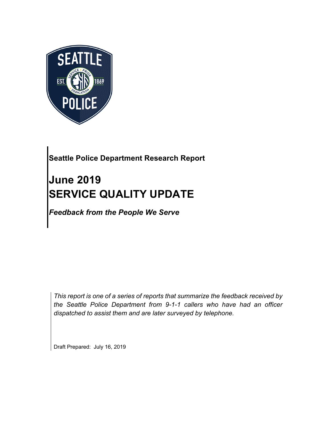

## **Seattle Police Department Research Report**

# **June 2019 SERVICE QUALITY UPDATE**

*Feedback from the People We Serve*

*This report is one of a series of reports that summarize the feedback received by the Seattle Police Department from 9-1-1 callers who have had an officer dispatched to assist them and are later surveyed by telephone.*

Draft Prepared: July 16, 2019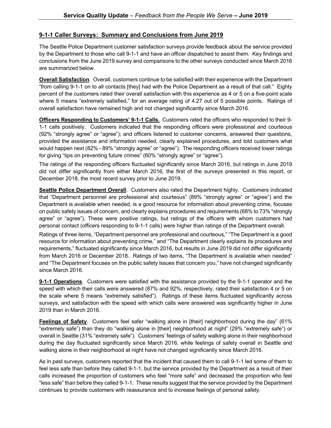#### **9-1-1 Caller Surveys: Summary and Conclusions from June 2019**

The Seattle Police Department customer satisfaction surveys provide feedback about the service provided by the Department to those who call 9-1-1 and have an officer dispatched to assist them. Key findings and conclusions from the June 2019 survey and comparisons to the other surveys conducted since March 2016 are summarized below.

**Overall Satisfaction**. Overall, customers continue to be satisfied with their experience with the Department "from calling 9-1-1 on to all contacts [they] had with the Police Department as a result of that call." Eighty percent of the customers rated their overall satisfaction with this experience as 4 or 5 on a five-point scale where 5 means "extremely satisfied," for an average rating of 4.27 out of 5 possible points. Ratings of overall satisfaction have remained high and not changed significantly since March 2016.

**Officers Responding to Customers' 9-1-1 Calls.** Customers rated the officers who responded to their 9- 1-1 calls positively. Customers indicated that the responding officers were professional and courteous (92% "strongly agree" or "agree"); and officers listened to customer concerns, answered their questions, provided the assistance and information needed, clearly explained procedures, and told customers what would happen next (82% - 89% "strongly agree" or "agree"). The responding officers received lower ratings for giving "tips on preventing future crimes" (60% "strongly agree" or "agree").

The ratings of the responding officers fluctuated significantly since March 2016, but ratings in June 2019 did not differ significantly from either March 2016, the first of the surveys presented in this report, or December 2018, the most recent survey prior to June 2019.

**Seattle Police Department Overall**. Customers also rated the Department highly. Customers indicated that "Department personnel are professional and courteous" (89% "strongly agree" or "agree") and the Department is available when needed, is a good resource for information about preventing crime, focuses on public safety issues of concern, and clearly explains procedures and requirements (68% to 73% "strongly agree" or "agree"). These were positive ratings, but ratings of the officers with whom customers had personal contact (officers responding to 9-1-1 calls) were higher than ratings of the Department overall.

Ratings of three items, "Department personnel are professional and courteous," "The Department is a good resource for information about preventing crime," and "The Department clearly explains its procedures and requirements," fluctuated significantly since March 2016, but results in June 2019 did not differ significantly from March 2016 or December 2018. Ratings of two items, "The Department is available when needed" and "The Department focuses on the public safety issues that concern you," have not changed significantly since March 2016.

**9-1-1 Operations**. Customers were satisfied with the assistance provided by the 9-1-1 operator and the speed with which their calls were answered (87% and 92%, respectively, rated their satisfaction 4 or 5 on the scale where 5 means "extremely satisfied"). Ratings of these items fluctuated significantly across surveys, and satisfaction with the speed with which calls were answered was significantly higher in June 2019 than in March 2016.

**Feelings of Safety**. Customers feel safer "walking alone in [their] neighborhood during the day" (61% "extremely safe") than they do "walking alone in [their] neighborhood at night" (29% "extremely safe") or overall in Seattle (31% "extremely safe"). Customers' feelings of safety walking alone in their neighborhood during the day fluctuated significantly since March 2016, while feelings of safety overall in Seattle and walking alone in their neighborhood at night have not changed significantly since March 2016.

As in past surveys, customers reported that the incident that caused them to call 9-1-1 led some of them to feel less safe than before they called 9-1-1, but the service provided by the Department as a result of their calls increased the proportion of customers who feel "more safe" and decreased the proportion who feel "less safe" than before they called 9-1-1. These results suggest that the service provided by the Department continues to provide customers with reassurance and to increase feelings of personal safety.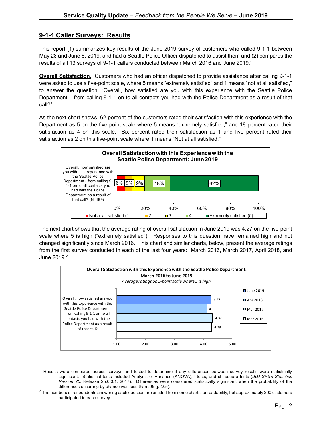#### **9-1-1 Caller Surveys: Results**

This report (1) summarizes key results of the June 2019 survey of customers who called 9-1-1 between May 28 and June 6, 2019, and had a Seattle Police Officer dispatched to assist them and (2) compares the results of all 13 surveys of 9-1-1 callers conducted between March 2016 and June 2019. 1

**Overall Satisfaction.** Customers who had an officer dispatched to provide assistance after calling 9-1-1 were asked to use a five-point scale, where 5 means "extremely satisfied" and 1 means "not at all satisfied," to answer the question, "Overall, how satisfied are you with this experience with the Seattle Police Department – from calling 9-1-1 on to all contacts you had with the Police Department as a result of that call?"

As the next chart shows, 62 percent of the customers rated their satisfaction with this experience with the Department as 5 on the five-point scale where 5 means "extremely satisfied," and 18 percent rated their satisfaction as 4 on this scale. Six percent rated their satisfaction as 1 and five percent rated their satisfaction as 2 on this five-point scale where 1 means "Not at all satisfied."



The next chart shows that the average rating of overall satisfaction in June 2019 was 4.27 on the five-point scale where 5 is high ("extremely satisfied"). Responses to this question have remained high and not changed significantly since March 2016. This chart and similar charts, below, present the average ratings from the first survey conducted in each of the last four years: March 2016, March 2017, April 2018, and June  $2019.<sup>2</sup>$ 



 $1$  Results were compared across surveys and tested to determine if any differences between survey results were statistically significant. Statistical tests included Analysis of Variance (ANOVA), t-tests, and chi-square tests (*IBM SPSS Statistics Version 25,* Release 25.0.0.1, 2017). Differences were considered statistically significant when the probability of the differences occurring by chance was less than .05 (p<.05).

 $2$  The numbers of respondents answering each question are omitted from some charts for readability, but approximately 200 customers participated in each survey.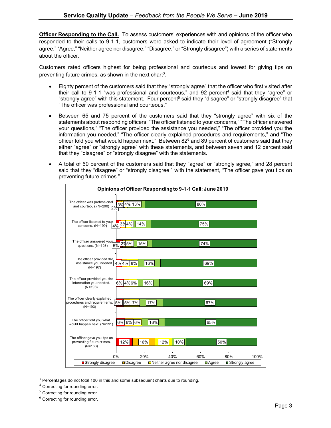**Officer Responding to the Call.** To assess customers' experiences with and opinions of the officer who responded to their calls to 9-1-1, customers were asked to indicate their level of agreement ("Strongly agree," "Agree," "Neither agree nor disagree," "Disagree," or "Strongly disagree") with a series of statements about the officer.

Customers rated officers highest for being professional and courteous and lowest for giving tips on preventing future crimes, as shown in the next chart<sup>3</sup>.

- Eighty percent of the customers said that they "strongly agree" that the officer who first visited after their call to 9-1-1 "was professional and courteous," and 92 percent<sup>4</sup> said that they "agree" or "strongly agree" with this statement. Four percent<sup>5</sup> said they "disagree" or "strongly disagree" that "The officer was professional and courteous."
- Between 65 and 75 percent of the customers said that they "strongly agree" with six of the statements about responding officers: "The officer listened to your concerns," "The officer answered your questions," "The officer provided the assistance you needed," "The officer provided you the information you needed," "The officer clearly explained procedures and requirements," and "The officer told you what would happen next." Between 82<sup>6</sup> and 89 percent of customers said that they either "agree" or "strongly agree" with these statements, and between seven and 12 percent said that they "disagree" or "strongly disagree" with the statements.
- A total of 60 percent of the customers said that they "agree" or "strongly agree," and 28 percent said that they "disagree" or "strongly disagree," with the statement, "The officer gave you tips on preventing future crimes."

| Opinions of Officer Responding to 9-1-1 Call: June 2019                       |                              |                                          |                             |                         |      |
|-------------------------------------------------------------------------------|------------------------------|------------------------------------------|-----------------------------|-------------------------|------|
| The officer was professional<br>and courteous. $(N=200)$ 2%                   | 3%4% 13%                     |                                          | 80%                         |                         |      |
| The officer listened to your<br>concerns. (N=199)                             | $\frac{1}{4\%}$ 3% 4%<br>14% |                                          | 75%                         |                         |      |
| The officer answered your<br>5%<br>questions. (N=198)                         | 2% 5%<br>15%                 |                                          | 74%                         |                         |      |
| The officer provided the,<br>assistance you needed. 4% 4% 8%<br>$(N=197)$     | 16%                          |                                          | 69%                         |                         |      |
| The officer provided you the<br>information you needed.<br>$(N=198)$          | 6% 4% 6%<br>16%              |                                          | 69%                         |                         |      |
| The officer clearly explained<br>procedures and requirements. 5%<br>$(N=193)$ | 5% 7%<br>17%                 |                                          | 67%                         |                         |      |
| The officer told you what<br>would happen next. (N=191)                       | 6% 6% 6%<br>16%              |                                          | 65%                         |                         |      |
| The officer gave you tips on<br>preventing future crimes.<br>$(N=163)$        | 12%<br>16%                   | 10%<br>12%                               | 50%                         |                         |      |
| 0%<br>■ Strongly disagree                                                     | 20%<br><b>□</b> Disagree     | 40%<br>$\Box$ Neither agree nor disagree | 60%<br>$\blacksquare$ Agree | 80%<br>■ Strongly agree | 100% |

 $3$  Percentages do not total 100 in this and some subsequent charts due to rounding.

- <sup>4</sup> Correcting for rounding error.
- $5$  Correcting for rounding error.
- $6$  Correcting for rounding error.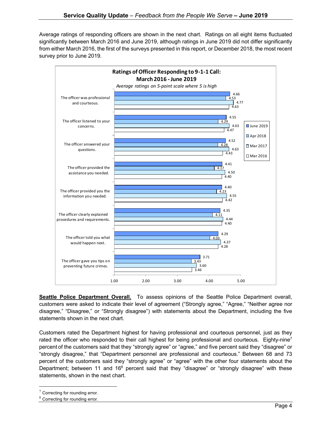Average ratings of responding officers are shown in the next chart. Ratings on all eight items fluctuated significantly between March 2016 and June 2019, although ratings in June 2019 did not differ significantly from either March 2016, the first of the surveys presented in this report, or December 2018, the most recent survey prior to June 2019.



**Seattle Police Department Overall.** To assess opinions of the Seattle Police Department overall, customers were asked to indicate their level of agreement ("Strongly agree," "Agree," "Neither agree nor disagree," "Disagree," or "Strongly disagree") with statements about the Department, including the five statements shown in the next chart.

Customers rated the Department highest for having professional and courteous personnel, just as they rated the officer who responded to their call highest for being professional and courteous. Eighty-nine<sup>7</sup> percent of the customers said that they "strongly agree" or "agree," and five percent said they "disagree" or "strongly disagree," that "Department personnel are professional and courteous." Between 68 and 73 percent of the customers said they "strongly agree" or "agree" with the other four statements about the Department; between 11 and 16<sup>8</sup> percent said that they "disagree" or "strongly disagree" with these statements, shown in the next chart.

 $7$  Correcting for rounding error.

<sup>8</sup> Correcting for rounding error.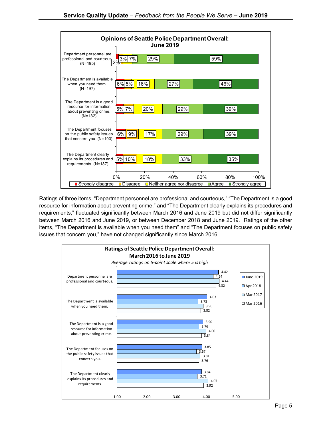

Ratings of three items, "Department personnel are professional and courteous," "The Department is a good resource for information about preventing crime," and "The Department clearly explains its procedures and requirements," fluctuated significantly between March 2016 and June 2019 but did not differ significantly between March 2016 and June 2019, or between December 2018 and June 2019. Ratings of the other items, "The Department is available when you need them" and "The Department focuses on public safety issues that concern you," have not changed significantly since March 2016.

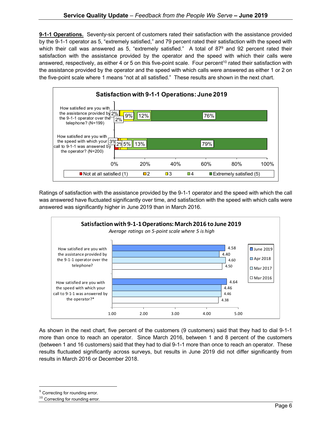**9-1-1 Operations.** Seventy-six percent of customers rated their satisfaction with the assistance provided by the 9-1-1 operator as 5, "extremely satisfied," and 79 percent rated their satisfaction with the speed with which their call was answered as 5, "extremely satisfied." A total of  $87^9$  and 92 percent rated their satisfaction with the assistance provided by the operator and the speed with which their calls were answered, respectively, as either 4 or 5 on this five-point scale. Four percent<sup>10</sup> rated their satisfaction with the assistance provided by the operator and the speed with which calls were answered as either 1 or 2 on the five-point scale where 1 means "not at all satisfied." These results are shown in the next chart.



Ratings of satisfaction with the assistance provided by the 9-1-1 operator and the speed with which the call was answered have fluctuated significantly over time, and satisfaction with the speed with which calls were answered was significantly higher in June 2019 than in March 2016.



As shown in the next chart, five percent of the customers (9 customers) said that they had to dial 9-1-1 more than once to reach an operator. Since March 2016, between 1 and 8 percent of the customers (between 1 and 16 customers) said that they had to dial 9-1-1 more than once to reach an operator. These results fluctuated significantly across surveys, but results in June 2019 did not differ significantly from results in March 2016 or December 2018.

<sup>&</sup>lt;sup>9</sup> Correcting for rounding error.

<sup>&</sup>lt;sup>10</sup> Correcting for rounding error.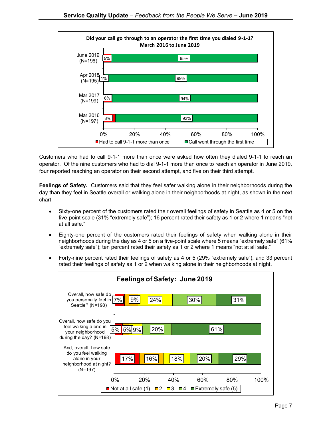

Customers who had to call 9-1-1 more than once were asked how often they dialed 9-1-1 to reach an operator. Of the nine customers who had to dial 9-1-1 more than once to reach an operator in June 2019, four reported reaching an operator on their second attempt, and five on their third attempt.

**Feelings of Safety.** Customers said that they feel safer walking alone in their neighborhoods during the day than they feel in Seattle overall or walking alone in their neighborhoods at night, as shown in the next chart.

- Sixty-one percent of the customers rated their overall feelings of safety in Seattle as 4 or 5 on the five-point scale (31% "extremely safe"); 16 percent rated their safety as 1 or 2 where 1 means "not at all safe."
- Eighty-one percent of the customers rated their feelings of safety when walking alone in their neighborhoods during the day as 4 or 5 on a five-point scale where 5 means "extremely safe" (61% "extremely safe"); ten percent rated their safety as 1 or 2 where 1 means "not at all safe."
- Forty-nine percent rated their feelings of safety as 4 or 5 (29% "extremely safe"), and 33 percent rated their feelings of safety as 1 or 2 when walking alone in their neighborhoods at night.

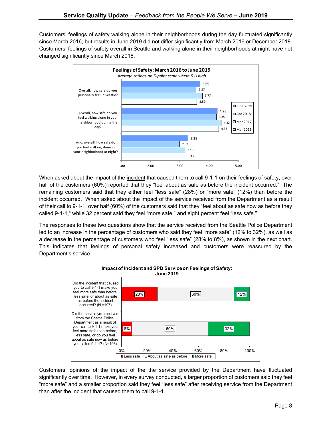Customers' feelings of safety walking alone in their neighborhoods during the day fluctuated significantly since March 2016, but results in June 2019 did not differ significantly from March 2016 or December 2018. Customers' feelings of safety overall in Seattle and walking alone in their neighborhoods at night have not changed significantly since March 2016.



When asked about the impact of the incident that caused them to call 9-1-1 on their feelings of safety, over half of the customers (60%) reported that they "feel about as safe as before the incident occurred." The remaining customers said that they either feel "less safe" (28%) or "more safe" (12%) than before the incident occurred. When asked about the impact of the service received from the Department as a result of their call to 9-1-1, over half (60%) of the customers said that they "feel about as safe now as before they called 9-1-1," while 32 percent said they feel "more safe," and eight percent feel "less safe."

The responses to these two questions show that the service received from the Seattle Police Department led to an increase in the percentage of customers who said they feel "more safe" (12% to 32%), as well as a decrease in the percentage of customers who feel "less safe" (28% to 8%), as shown in the next chart. This indicates that feelings of personal safety increased and customers were reassured by the Department's service.



Customers' opinions of the impact of the the service provided by the Department have fluctuated significantly over time. However, in every survey conducted, a larger proportion of customers said they feel "more safe" and a smaller proportion said they feel "less safe" after receiving service from the Department than after the incident that caused them to call 9-1-1.